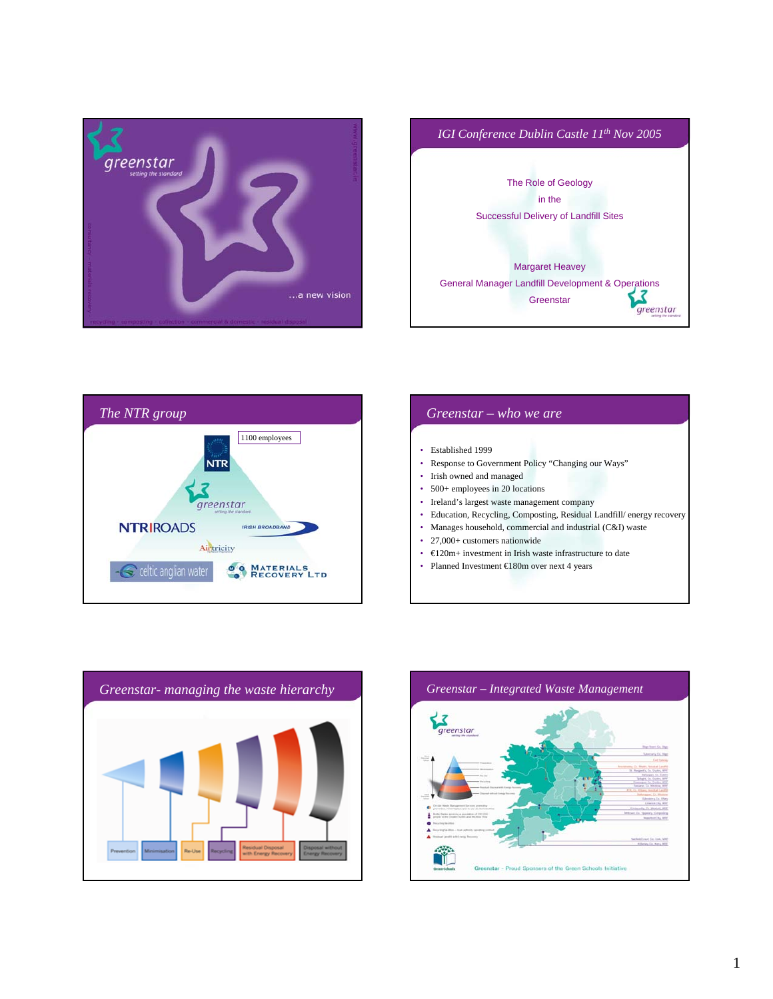





## *Greenstar – who we are* • Established 1999 • Response to Government Policy "Changing our Ways" • Irish owned and managed • 500+ employees in 20 locations • Ireland's largest waste management company • Education, Recycling, Composting, Residual Landfill/ energy recovery • Manages household, commercial and industrial (C&I) waste • 27,000+ customers nationwide • €120m+ investment in Irish waste infrastructure to date • Planned Investment €180m over next 4 years



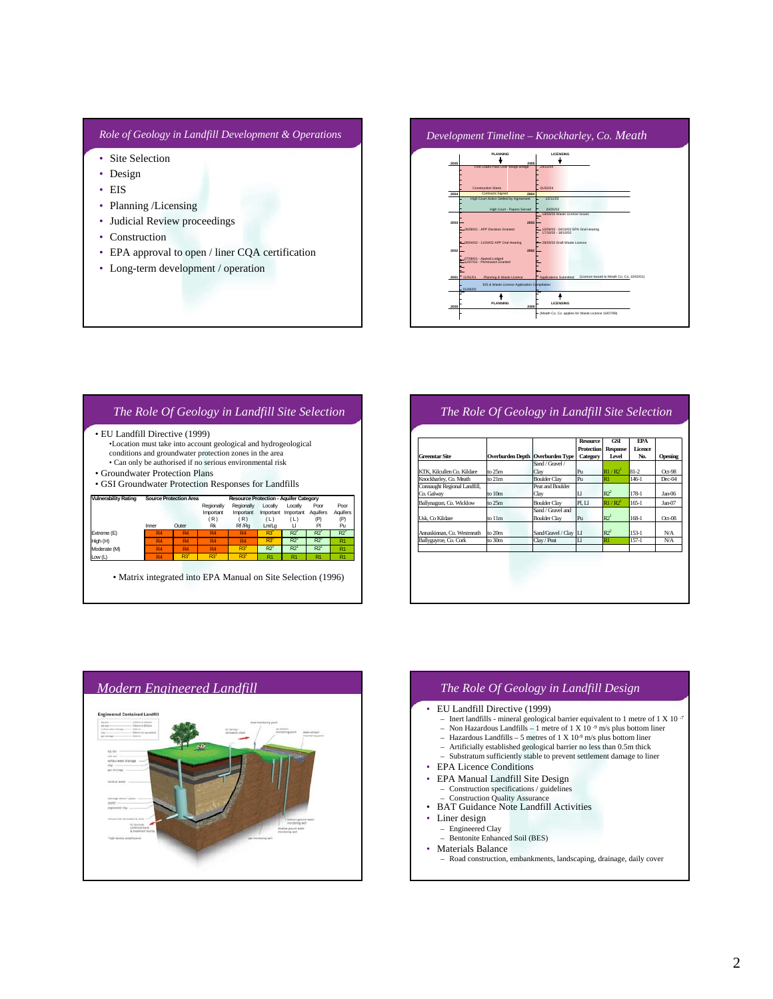#### *Role of Geology in Landfill Development & Operations*

- Site Selection
- Design
- EIS
- Planning /Licensing
- Judicial Review proceedings
- Construction
- EPA approval to open / liner CQA certification
- Long-term development / operation



#### *The Role Of Geology in Landfill Site Selection* Vulnerability Rating Source Protection Area Resource Protection - Aquifer Category<br>Regionally Regionally Locally Locally<br>Important Important Amportant Important Important<br>Protection - Aquifer U. Line (R) (Line (R) (Line ( **Regionally** Important ( R ) Regionally Important ( R ) Regionally Regionally Locally Locally Poor Poc<br>Important Important Important Important Aquifers Aquif<br>Inner Outer Rk Rf/Rg Lm/Lg Ll Pl Pu<br>Inner Outer Rk Rf/Rg Lm/Lg Ll Pl Pu Poor Aquifers (P) Poor Aquifers (P) Extreme (E) R4 R4 R4 R4 R3<sup>2</sup> R2<sup>2</sup> R2<sup>1</sup> R2<sup>1</sup> .<br>Moderate (M)<br>Moderate (M) Moderate (M) R4 R4 R4 R3<sup>1</sup> R2<sup>2</sup> R2<sup>1</sup> R2<sup>1</sup> R2<sup>1</sup> Low (L) R4 R3<sup>1</sup> R3<sup>1</sup> R3<sup>1</sup> R3<sup>1</sup> R1 R1 R1 R1 • EU Landfill Directive (1999) •Location must take into account geological and hydrogeological conditions and groundwater protection zones in the area • Can only be authorised if no serious environmental risk • Groundwater Protection Plans • GSI Groundwater Protection Responses for Landfills • Matrix integrated into EPA Manual on Site Selection (1996)

### *The Role Of Geology in Landfill Site Selection*

| <b>Greenstar Site</b>        | Overburden Depth   Overburden Type |                                          | <b>Resource</b><br><b>Protection</b><br>Category | GSI<br><b>Response</b><br>Level | <b>FPA</b><br>Licence<br>No. | Opening   |
|------------------------------|------------------------------------|------------------------------------------|--------------------------------------------------|---------------------------------|------------------------------|-----------|
|                              |                                    | Sand / Gravel /                          |                                                  |                                 |                              |           |
| KTK, Kilcullen Co. Kildare   | to $25m$                           | Clay                                     | Pu                                               | $R1/R2^1$                       | $81 - 2$                     | $Oct-98$  |
| Knockharlev, Co. Meath       | to $21m$                           | <b>Boulder Clav</b>                      | Pu                                               | R1                              | $146-1$                      | Dec-04    |
| Connaught Regional Landfill, |                                    | Peat and Boulder                         |                                                  |                                 |                              |           |
| Co. Galway                   | to 10m                             | Clav                                     | $_{\text{L}}$                                    | $R2^2$                          | $178-1$                      | Jan-06    |
| Ballynagran, Co. Wicklow     | to $25m$                           | <b>Boulder Clav</b>                      | PI. LI                                           | $\mathbb{R}1/\mathbb{R}2^1$     | $165 - 1$                    | Jan-07    |
| Usk. Co Kildare              | to 11m                             | Sand / Gravel and<br><b>Boulder Clav</b> | Pu                                               | R2 <sup>1</sup>                 | $168-1$                      | $Oct-08$  |
| Annaskinnan, Co. Westmeath   | to $20m$                           | Sand/Gravel / Clay LI                    |                                                  | $R2^2$                          | $153-1$                      | <b>NA</b> |
| Ballyguyroe, Co. Cork        | to 30m                             | Clay / Peat                              | $\mathbf{u}$                                     | R1                              | $157 - 1$                    | N/A       |
|                              |                                    |                                          |                                                  |                                 |                              |           |



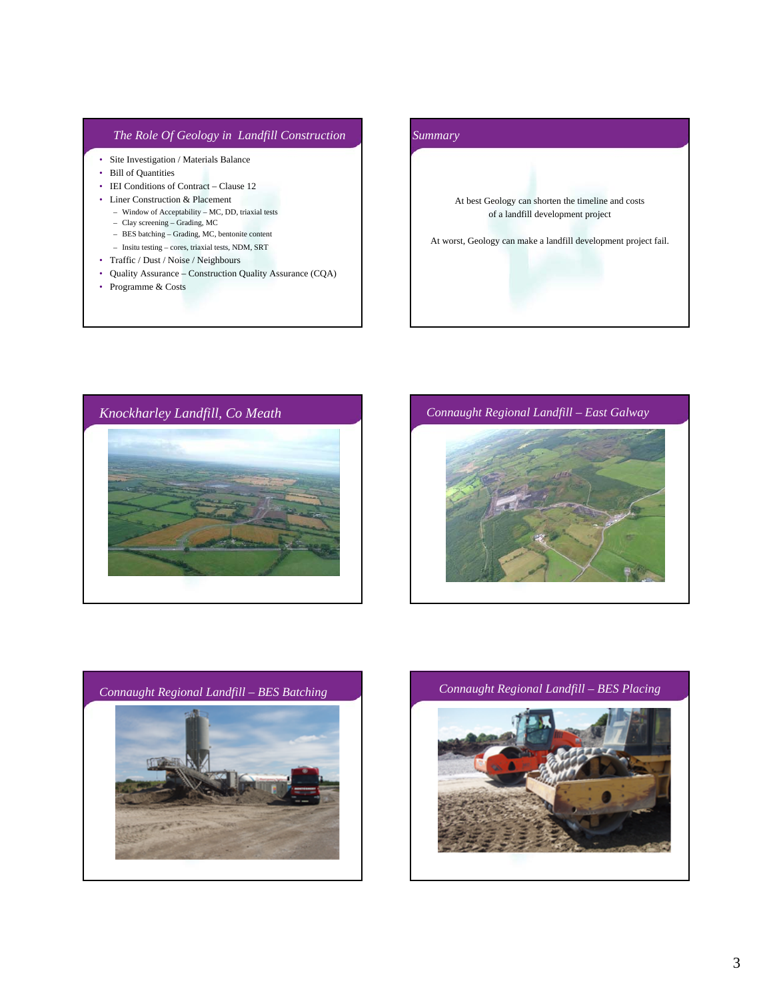#### *The Role Of Geology in Landfill Construction*

- Site Investigation / Materials Balance
- Bill of Quantities
- IEI Conditions of Contract Clause 12
- Liner Construction & Placement
	- Window of Acceptability MC, DD, triaxial tests
	- Clay screening Grading, MC
	- BES batching Grading, MC, bentonite content
	- Insitu testing cores, triaxial tests, NDM, SRT
- Traffic / Dust / Noise / Neighbours
- Quality Assurance Construction Quality Assurance (CQA)
- Programme & Costs

# *Summary* At best Geology can shorten the timeline and costs of a landfill development project At worst, Geology can make a landfill development project fail.







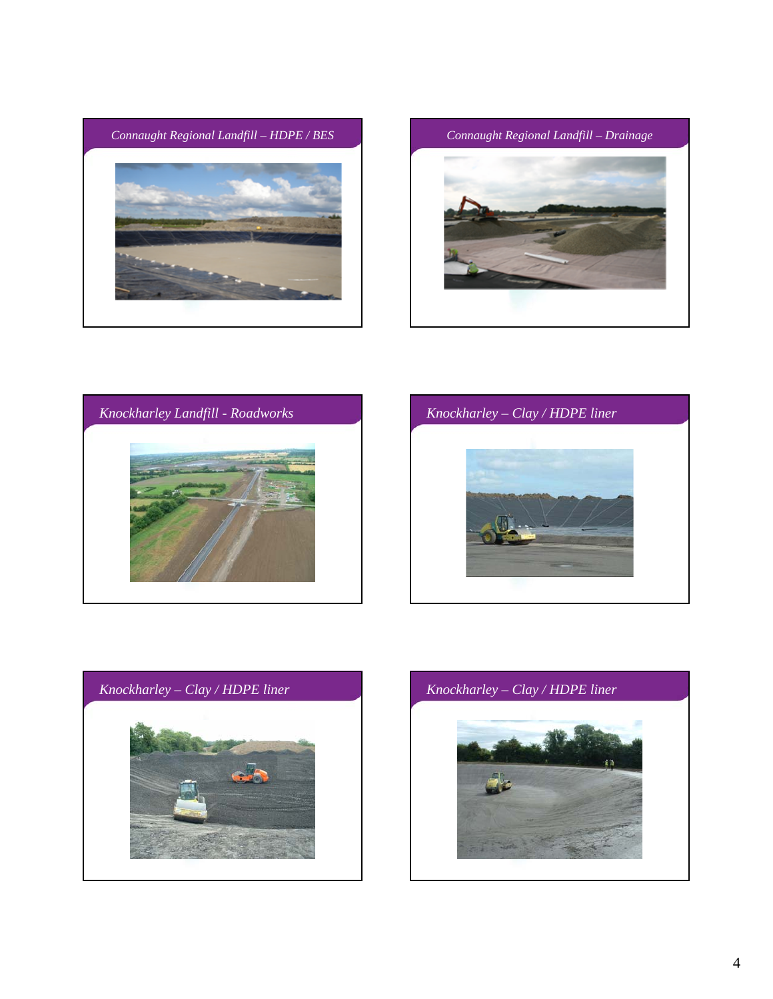